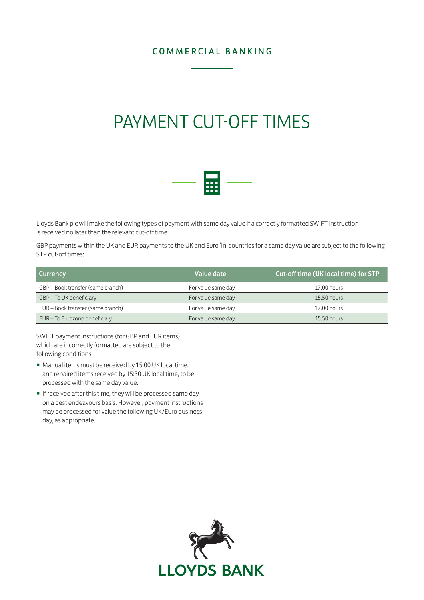### COMMERCIAL BANKING

# PAYMENT CUT-OFF TIMES



Lloyds Bank plc will make the following types of payment with same day value if a correctly formatted SWIFT instruction is received no later than the relevant cut-off time.

GBP payments within the UK and EUR payments to the UK and Euro 'In' countries for a same day value are subject to the following STP cut-off times:

| <b>Currency</b>                   | Value date         | <b>Cut-off time (UK local time) for STP</b> |
|-----------------------------------|--------------------|---------------------------------------------|
| GBP – Book transfer (same branch) | For value same day | 17.00 hours                                 |
| GBP - To UK beneficiary           | For value same day | $15.50$ hours                               |
| EUR - Book transfer (same branch) | For value same day | 17.00 hours                                 |
| EUR - To Eurozone beneficiary     | For value same day | 15.50 hours                                 |

SWIFT payment instructions (for GBP and EUR items) which are incorrectly formatted are subject to the following conditions:

- Manual items must be received by 15:00 UK local time, and repaired items received by 15:30 UK local time, to be processed with the same day value.
- If received after this time, they will be processed same day on a best endeavours basis. However, payment instructions may be processed for value the following UK/Euro business day, as appropriate.

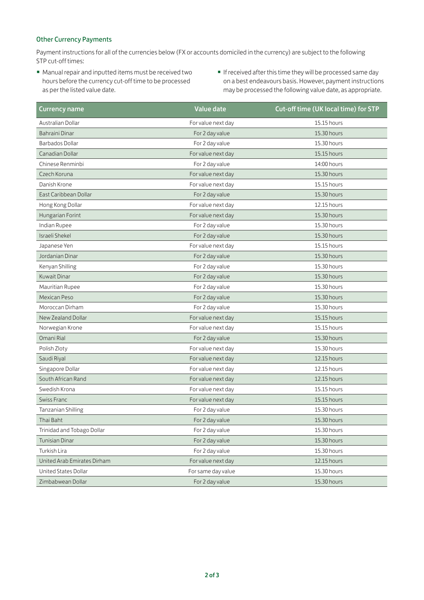#### Other Currency Payments

Payment instructions for all of the currencies below (FX or accounts domiciled in the currency) are subject to the following STP cut-off times:

- Manual repair and inputted items must be received two hours before the currency cut-off time to be processed as per the listed value date.
- If received after this time they will be processed same day on a best endeavours basis. However, payment instructions may be processed the following value date, as appropriate.

| Currency name               | <b>Value date</b>  | Cut-off time (UK local time) for STP |
|-----------------------------|--------------------|--------------------------------------|
| Australian Dollar           | For value next day | 15.15 hours                          |
| Bahraini Dinar              | For 2 day value    | 15.30 hours                          |
| <b>Barbados Dollar</b>      | For 2 day value    | 15.30 hours                          |
| Canadian Dollar             | For value next day | 15.15 hours                          |
| Chinese Renminbi            | For 2 day value    | 14:00 hours                          |
| Czech Koruna                | For value next day | 15.30 hours                          |
| Danish Krone                | For value next day | 15.15 hours                          |
| East Caribbean Dollar       | For 2 day value    | 15.30 hours                          |
| Hong Kong Dollar            | For value next day | 12.15 hours                          |
| Hungarian Forint            | For value next day | 15.30 hours                          |
| Indian Rupee                | For 2 day value    | 15.30 hours                          |
| Israeli Shekel              | For 2 day value    | 15.30 hours                          |
| Japanese Yen                | For value next day | 15.15 hours                          |
| Jordanian Dinar             | For 2 day value    | 15.30 hours                          |
| Kenyan Shilling             | For 2 day value    | 15.30 hours                          |
| Kuwait Dinar                | For 2 day value    | 15.30 hours                          |
| Mauritian Rupee             | For 2 day value    | 15.30 hours                          |
| Mexican Peso                | For 2 day value    | 15.30 hours                          |
| Moroccan Dirham             | For 2 day value    | 15.30 hours                          |
| New Zealand Dollar          | For value next day | 15.15 hours                          |
| Norwegian Krone             | For value next day | 15.15 hours                          |
| Omani Rial                  | For 2 day value    | 15.30 hours                          |
| Polish Zloty                | For value next day | 15.30 hours                          |
| Saudi Riyal                 | For value next day | 12.15 hours                          |
| Singapore Dollar            | For value next day | 12.15 hours                          |
| South African Rand          | For value next day | 12.15 hours                          |
| Swedish Krona               | For value next day | 15.15 hours                          |
| <b>Swiss Franc</b>          | For value next day | 15.15 hours                          |
| <b>Tanzanian Shilling</b>   | For 2 day value    | 15.30 hours                          |
| Thai Baht                   | For 2 day value    | 15.30 hours                          |
| Trinidad and Tobago Dollar  | For 2 day value    | 15.30 hours                          |
| Tunisian Dinar              | For 2 day value    | 15.30 hours                          |
| Turkish Lira                | For 2 day value    | 15.30 hours                          |
| United Arab Emirates Dirham | For value next day | 12.15 hours                          |
| United States Dollar        | For same day value | 15.30 hours                          |
| Zimbabwean Dollar           | For 2 day value    | 15.30 hours                          |